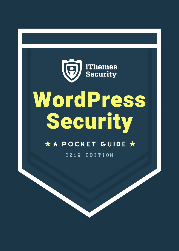# iThemes<br>Security

## WordPress **Security**

#### $\star$  A POCKET GUIDE  $\star$

2 0 1 9 E D I T I O N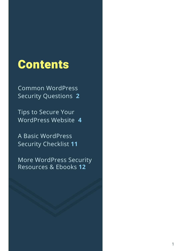## **Contents**

Common [WordPress](#page-2-0) Security Questions **2**

Tips to Secure Your [WordPress](#page-4-0) Website **4**

A Basic [WordPress](#page-11-0) Security Checklist **11**

More [WordPress](#page-12-0) Security Resources & Ebooks **12**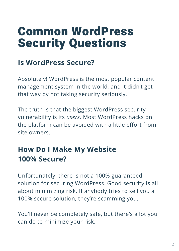## <span id="page-2-0"></span>Common WordPress Security Questions

#### **Is WordPress Secure?**

Absolutely! WordPress is the most popular content management system in the world, and it didn't get that way by not taking security seriously.

The truth is that the biggest WordPress security vulnerability is its *users.* Most WordPress hacks on the platform can be avoided with a little effort from site owners.

#### **How Do I Make My Website 100% Secure?**

Unfortunately, there is not a 100% guaranteed solution for securing WordPress. Good security is all about minimizing risk. If anybody tries to sell you a 100% secure solution, they're scamming you.

You'll never be completely safe, but there's a lot you can do to minimize your risk.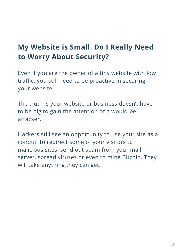#### **My Website is Small. Do I Really Need to Worry About Security?**

Even if you are the owner of a tiny website with low traffic, you still need to be proactive in securing your website.

The truth is your website or business doesn't have to be big to gain the attention of a would-be attacker.

Hackers still see an opportunity to use your site as a conduit to redirect some of your visitors to malicious sites, send out spam from your mailserver, spread viruses or even to mine Bitcoin. They will take anything they can get.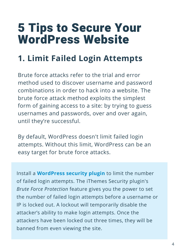## <span id="page-4-0"></span>5 Tips to Secure Your WordPress Website

### **1. Limit Failed Login Attempts**

Brute force attacks refer to the trial and error method used to discover username and password combinations in order to hack into a website. The brute force attack method exploits the simplest form of gaining access to a site: by trying to guess usernames and passwords, over and over again, until they're successful.

By default, WordPress doesn't limit failed login attempts. Without this limit, WordPress can be an easy target for brute force attacks.

Install a **WordPress security plugin** to limit the number of failed login attempts. The iThemes Security plugin's *Brute Force Protection* feature gives you the power to set the number of failed login attempts before a username or IP is locked out. A lockout will [temporarily](https://ithemes.com/security) disable the attacker's ability to make login attempts. Once the attackers have been locked out three times, they will be banned from even viewing the site.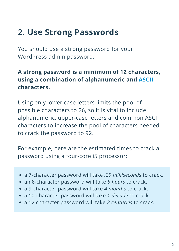#### **2. Use Strong Passwords**

You should use a strong password for your WordPress admin password.

#### **A strong password is a minimum of 12 characters, using a combination of alphanumeric and [ASCII](https://ascii.cl/) characters.**

Using only lower case letters limits the pool of possible characters to 26, so it is vital to include alphanumeric, upper-case letters and common ASCII characters to increase the pool of characters needed to crack the password to 92.

For example, here are the estimated times to crack a password using a four-core i5 processor:

- a 7-character password will take *.29 milliseconds* to crack.
- an 8-character password will take *5 hours* to crack.
- a 9-character password will take *4 months* to crack.
- a 10-character password will take *1 decade* to crack
- a 12 character password will take *2 centuries* to crack.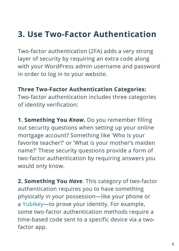#### **3. Use Two-Factor Authentication**

Two-factor authentication (2FA) adds a very strong layer of security by requiring an extra code along with your WordPress admin username and password in order to log in to your website.

**Three Two-Factor Authentication Categories:**

Two-factor authentication includes three categories of identity verification:

**1. Something You** *Know***.** Do you remember filling out security questions when setting up your online mortgage account? Something like 'Who is your favorite teacher?' or 'What is your mother's maiden name?' These security questions provide a form of two-factor authentication by requiring answers you would only know.

**2. Something You** *Have*. This category of two-factor authentication requires you to have something physically in your possession—like your phone or a [Yubikey—](https://www.yubico.com/)to prove your identity. For example, some two-factor authentication methods require a time-based code sent to a specific device via a twofactor app.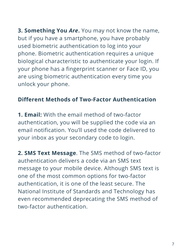**3. Something You** *Are***.** You may not know the name, but if you have a smartphone, you have probably used biometric authentication to log into your phone. Biometric authentication requires a unique biological characteristic to authenticate your login. If your phone has a fingerprint scanner or Face ID, you are using biometric authentication every time you unlock your phone.

#### **Different Methods of Two-Factor Authentication**

**1. Email:** With the email method of two-factor authentication, you will be supplied the code via an email notification. You'll used the code delivered to your inbox as your secondary code to login.

**2. SMS Text Message**. The SMS method of two-factor authentication delivers a code via an SMS text message to your mobile device. Although SMS text is one of the most common options for two-factor authentication, it is one of the least secure. The National Institute of Standards and Technology has even recommended deprecating the SMS method of two-factor authentication.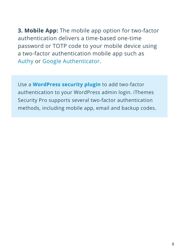**3. Mobile App:** The mobile app option for two-factor authentication delivers a time-based one-time password or TOTP code to your mobile device using a two-factor authentication mobile app such as [Authy](https://authy.com/) or Google [Authenticator.](https://play.google.com/store/apps/details?id=com.google.android.apps.authenticator2&hl=en_US)

Use a **WordPress security plugin** to add two-factor [authentication](https://ithemes.com/security) to your WordPress admin login. iThemes Security Pro supports several two-factor authentication methods, including mobile app, email and backup codes.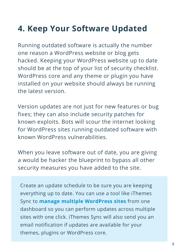## **4. Keep Your Software Updated**

Running outdated software is actually the number one reason a WordPress website or blog gets hacked. Keeping your WordPress website up to date should be at the top of your list of security checklist. WordPress core and any theme or plugin you have installed on your website should always be running the latest version.

Version updates are not just for new features or bug fixes; they can also include security patches for known exploits. Bots will scour the internet looking for WordPress sites running outdated software with known WordPress vulnerabilities.

When you leave software out of date, you are giving a would be hacker the blueprint to bypass all other security measures you have added to the site.

Create an update schedule to be sure you are keeping everything up to date. You can use a tool like iThemes Sync to **manage multiple WordPress sites** from one dashboard so you can perform updates across multiple sites with one click. iThemes Sync will also send you an email [notification](https://ithemes.com/sync) if updates are available for your themes, plugins or WordPress core.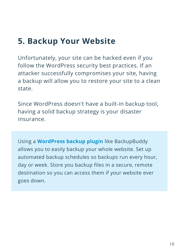Unfortunately, your site can be hacked even if you follow the WordPress security best practices. If an attacker successfully compromises your site, having a backup will allow you to restore your site to a clean state.

Since WordPress doesn't have a built-in backup tool, having a solid backup strategy is your disaster insurance.

Using a **WordPress backup plugin** like [BackupBuddy](https://ithemes.com/purchase/backupbuddy) allows you to easily backup your whole website. Set up automated backup schedules so backups run every hour, day or week. Store you backup files in a secure, remote destination so you can access them if your website ever goes down.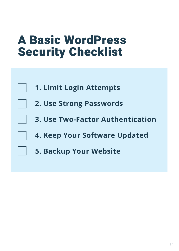## <span id="page-11-0"></span>A Basic WordPress Security Checklist

|  |  | 1. Limit Login Attempts |
|--|--|-------------------------|
|--|--|-------------------------|

- **2. Use Strong Passwords**
	- **3. Use Two-Factor Authentication**
	- **4. Keep Your Software Updated**
	- **5. Backup Your Website**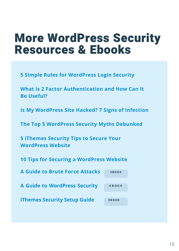## <span id="page-12-0"></span>More WordPress Security Resources & Ebooks

**[5 Simple Rules for WordPress Login Security](https://ithemes.com/5-rules-wordpress-login-security/)**

**[What is 2 Factor Authentication and How Can It](https://ithemes.com/what-is-2-factor-authentication/) Be Useful?**

**[Is My WordPress Site Hacked? 7 Signs of Infection](https://ithemes.com/is-my-wordpress-site-hacked/)**

**[The Top 5 WordPress Security Myths Debunked](https://ithemes.com/the-top-5-wordpress-security-myths-debunked/)**

**[5 iThemes Security Tips to Secure Your](https://ithemes.com/5-ithemes-security-tips/) WordPress Website**

**[10 Tips for Securing a WordPress Website](https://ithemes.com/10-tips-for-securing-a-wordpress-website/)**

**[A Guide to Brute Force Attacks](https://ithemes.com/publishing/guide-to-wordpress-brute-force-attacks/)** 

**[A Guide to WordPress Security](https://ithemes.com/publishing/guide-to-wordpress-security/)** 

**iT[hemes Security Setup Guide](https://ithemes.com/publishing/ithemes-security-setup-checklist/)** 

| <b>EBOOK</b> |  |
|--------------|--|
|              |  |
| <b>EBOOK</b> |  |
|              |  |
| <b>EBOOK</b> |  |